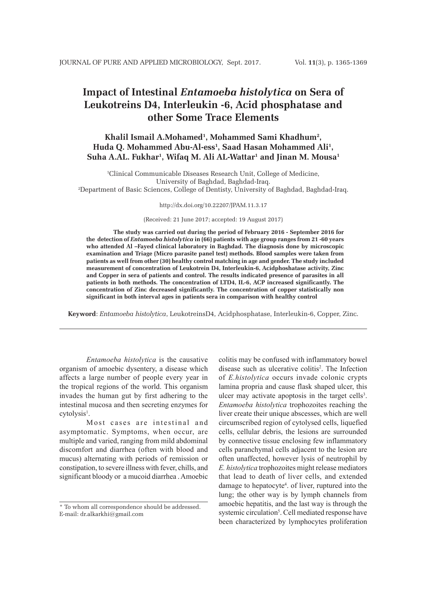# **Impact of Intestinal** *Entamoeba histolytica* **on Sera of Leukotreins D4, Interleukin -6, Acid phosphatase and other Some Trace Elements**

# **Khalil Ismail A.Mohamed1 , Mohammed Sami Khadhum2 , Huda Q. Mohammed Abu-Al-ess1 , Saad Hasan Mohammed Ali1 , Suha A.AL. Fukhar1 , Wifaq M. Ali AL-Wattar1 and Jinan M. Mousa1**

1 Clinical Communicable Diseases Research Unit, College of Medicine, University of Baghdad, Baghdad-Iraq. 2 Department of Basic Sciences, College of Dentisty, University of Baghdad, Baghdad-Iraq.

http://dx.doi.org/10.22207/JPAM.11.3.17

(Received: 21 June 2017; accepted: 19 August 2017)

**The study was carried out during the period of February 2016 - September 2016 for the detection of** *Entamoeba histolytica* **in (66) patients with age group ranges from 21 -60 years who attended Al –Fayed clinical laboratory in Baghdad. The diagnosis done by microscopic examination and Triage (Micro parasite panel test) methods. Blood samples were taken from patients as well from other (30) healthy control matching in age and gender. The study included measurement of concentration of Leukotrein D4, Interleukin-6, Acidphoshatase activity, Zinc and Copper in sera of patients and control. The results indicated presence of parasites in all patients in both methods. The concentration of LTD4, IL-6, ACP increased significantly. The concentration of Zinc decreased significantly. The concentration of copper statistically non significant in both interval ages in patients sera in comparison with healthy control** 

**Keyword**: *Entamoeba histolytica*, LeukotreinsD4, Acidphosphatase, Interleukin-6, Copper, Zinc.

*Entamoeba histolytica* is the causative organism of amoebic dysentery, a disease which affects a large number of people every year in the tropical regions of the world. This organism invades the human gut by first adhering to the intestinal mucosa and then secreting enzymes for  $cytolysis<sup>1</sup>$ .

Most cases are intestinal and asymptomatic. Symptoms, when occur, are multiple and varied, ranging from mild abdominal discomfort and diarrhea (often with blood and mucus) alternating with periods of remission or constipation, to severe illness with fever, chills, and significant bloody or a mucoid diarrhea . Amoebic

colitis may be confused with inflammatory bowel disease such as ulcerative colitis<sup>2</sup>. The Infection of *E.histolytica* occurs invade colonic crypts lamina propria and cause flask shaped ulcer, this ulcer may activate apoptosis in the target cells<sup>3</sup>. *Entamoeba histolytica* trophozoites reaching the liver create their unique abscesses, which are well circumscribed region of cytolysed cells, liquefied cells, cellular debris, the lesions are surrounded by connective tissue enclosing few inflammatory cells paranchymal cells adjacent to the lesion are often unaffected, however lysis of neutrophil by *E. histolytica* trophozoites might release mediators that lead to death of liver cells, and extended damage to hepatocyte4 . of liver, ruptured into the lung; the other way is by lymph channels from amoebic hepatitis, and the last way is through the systemic circulation<sup>5</sup>. Cell mediated response have been characterized by lymphocytes proliferation

<sup>\*</sup> To whom all correspondence should be addressed. E-mail: dr.alkarkhi@gmail.com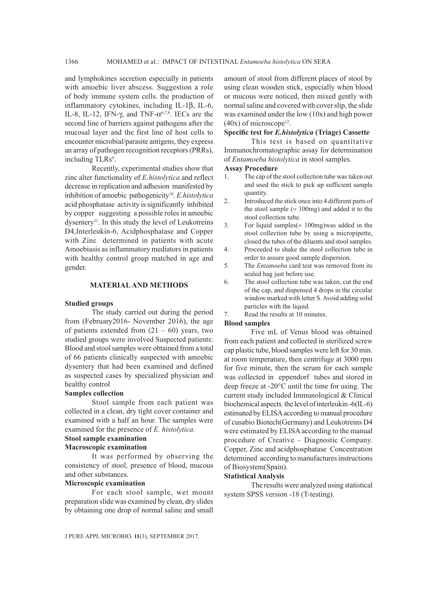and lymphokines secretion especially in patients with amoebic liver abscess. Suggestion a role of body immune system cells. the production of inflammatory cytokines, including IL-1 $\beta$ , IL-6, IL-8, IL-12, IFN- $\gamma$ , and TNF- $\alpha^{6,7,8}$ . IECs are the second line of barriers against pathogens after the mucosal layer and the first line of host cells to encounter microbial/parasite antigens, they express an array of pathogen recognition receptors (PRRs), including TLRs<sup>9</sup>.

Recently, experimental studies show that zinc alter functionality of *E.histolytica* and reflect decrease in replication and adhesion manifested by inhibition of amoebic pathogenicity10. *E.histolytica* acid phosphatase activity is significantly inhibited by copper suggesting a possible roles in amoebic dysentery<sup>11</sup>. In this study the level of Leukotreins D4,Interleukin-6, Acidphosphatase and Copper with Zinc determined in patients with acute Amoebiasis as inflammatory mediators in patients with healthy control group matched in age and gender.

## **MATERIAL AND METHODS**

#### **Studied groups**

The study carried out during the period from (February2016- November 2016), the age of patients extended from  $(21 - 60)$  years, two studied groups were involved Suspected patients: Blood and stool samples were obtained from a total of 66 patients clinically suspected with amoebic dysentery that had been examined and defined as suspected cases by specialized physician and healthy control

#### **Samples collection**

Stool sample from each patient was collected in a clean, dry tight cover container and examined with a half an hour. The samples were examined for the presence of *E. histolytica.* 

#### **Stool sample examination**

#### **Macroscopic examination**

It was performed by observing the consistency of stool, presence of blood, mucous and other substances.

#### **Microscopic examination**

For each stool sample, wet mount preparation slide was examined by clean, dry slides by obtaining one drop of normal saline and small

amount of stool from different places of stool by using clean wooden stick, especially when blood or mucous were noticed, then mixed gently with normal saline and covered with cover slip, the slide was examined under the low (10x) and high power  $(40x)$  of microscope<sup>12</sup>.

# **Specific test for** *E.histolytica* **(Triage) Cassette**

This test is based on quantitative Immunochromatographic assay for determination of *Entamoeba histolytica* in stool samples.

# **Assay Procedure**

- 1. The cap of the stool collection tube was taken out and used the stick to pick up sufficient sample quantity.
- 2. Introduced the stick once into 4 different parts of the stool sample ( $\approx 100$ mg) and added it to the stool collection tube.
- 3. For liquid samples( $\approx 100$ mg)was added in the stool collection tube by using a micropipette, closed the tubes of the diluents and stool samples.
- 4. Proceeded to shake the stool collection tube in order to assure good sample dispersion.
- 5. The *Entamoeba* card test was removed from its sealed bag just before use.
- 6. The stool collection tube was taken, cut the end of the cap, and dispensed 4 drops in the circular window marked with letter S. Avoid adding solid particles with the liquid.

7. Read the results at 10 minutes.

#### **Blood samples**

Five mL of Venus blood was obtained from each patient and collected in sterilized screw cap plastic tube, blood samples were left for 30 min. at room temperature, then centrifuge at 3000 rpm for five minute, then the serum for each sample was collected in eppendorf tubes and stored in deep freeze at -20°C until the time for using. The current study included Immunological & Clinical biochemical aspects. the level of interleukin -6(IL-6) estimated by ELISA according to manual procedure of cusabio Biotech(Germany) and Leukotreins D4 were estimated by ELISA according to the manual procedure of Creative – Diagnostic Company. Copper, Zinc and acidphosphatase Concentration determined according to manufactures instructions of Biosystem(Spain).

### **Statistical Analysis**

The results were analyzed using statistical system SPSS version -18 (T-testing).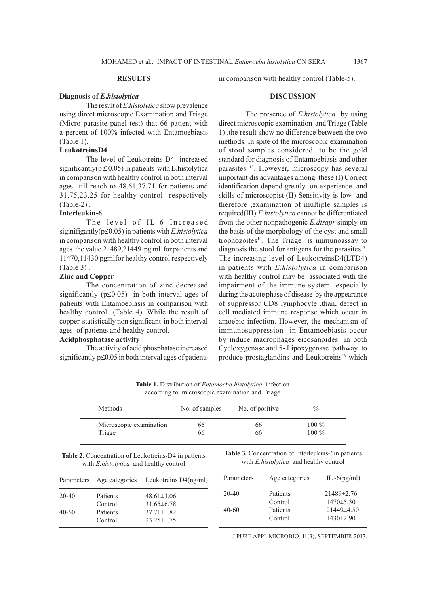## **Diagnosis of** *E***.***histolytica*

The result of *E*.*histolytica* show prevalence using direct microscopic Examination and Triage (Micro parasite panel test) that 66 patient with a percent of 100% infected with Entamoebiasis (Table 1).

## **LeukotreinsD4**

The level of Leukotreins D4 increased significantly( $p \le 0.05$ ) in patients with E.histolytica in comparison with healthy control in both interval ages till reach to 48.61,37.71 for patients and 31.75,23.25 for healthy control respectively (Table-2) .

# **Interleukin-6**

The level of IL-6 Increased siginifigantly(p≤0.05) in patients with *E.histolytica* in comparison with healthy control in both interval ages the value 21489,21449 pg ml for patients and 11470,11430 pgmlfor healthy control respectively (Table 3) .

# **Zinc and Copper**

The concentration of zinc decreased significantly ( $p \le 0.05$ ) in both interval ages of patients with Entamoebiasis in comparison with healthy control (Table 4). While the result of copper statistically non significant in both interval ages of patients and healthy control.

# **Acidphosphatase activity**

The activity of acid phosphatase increased significantly p≤0.05 in both interval ages of patients in comparison with healthy control (Table-5).

### **DISCUSSION**

The presence of *E.histolytica* by using direct microscopic examination and Triage (Table 1) .the result show no difference between the two methods. In spite of the microscopic examination of stool samples considered to be the gold standard for diagnosis of Entamoebiasis and other parasites 13. However, microscopy has several important dis advantages among these (I) Correct identification depend greatly on experience and skills of microscopist (II) Sensitivity is low and therefore ,examination of multiple samples is required(III).*E.histolytica* cannot be differentiated from the other nonpathogenic *E.disapr* simply on the basis of the morphology of the cyst and small trophozoites $14$ . The Triage is immunoassay to diagnosis the stool for antigens for the parasites<sup>15</sup>. The increasing level of LeukotreinsD4(LTD4) in patients with *E.histolytica* in comparison with healthy control may be associated with the impairment of the immune system especially during the acute phase of disease by the appearance of suppressor CD8 lymphocyte ,than, defect in cell mediated immune response which occur in amoebic infection. However, the mechanism of immunosuppression in Entamoebiasis occur by induce macrophages eicosanoides in both Cycloxygenase and 5- Lipoxygenase pathway to produce prostaglandins and Leukotreins<sup>16</sup> which

**Table 1.** Distribution of *Entamoeba histolytica* infection according to microscopic examination and Triage

| Methods<br>Microscopic examination |                                      |                                                                   |                                                                                                          |                                      | $\%$                                                                                                                                                                                                                |
|------------------------------------|--------------------------------------|-------------------------------------------------------------------|----------------------------------------------------------------------------------------------------------|--------------------------------------|---------------------------------------------------------------------------------------------------------------------------------------------------------------------------------------------------------------------|
|                                    |                                      | 66                                                                |                                                                                                          |                                      | $100\%$                                                                                                                                                                                                             |
| Triage                             |                                      | 66                                                                |                                                                                                          |                                      | $100\%$                                                                                                                                                                                                             |
|                                    |                                      |                                                                   |                                                                                                          |                                      |                                                                                                                                                                                                                     |
| Age categories                     |                                      |                                                                   |                                                                                                          | Age categories                       | IL $-6(pg/ml)$                                                                                                                                                                                                      |
| Patients                           | $48.61 \pm 3.06$                     |                                                                   |                                                                                                          | Patients                             | 21489±2.76<br>$1470 \pm 5.30$                                                                                                                                                                                       |
| Patients<br>Control                | $37.71 \pm 1.82$<br>$23.25 \pm 1.75$ |                                                                   |                                                                                                          | Patients<br>Control                  | 21449±4.50<br>$1430 \pm 2.90$                                                                                                                                                                                       |
|                                    | Control                              | with <i>E.histolytica</i> and healthy control<br>$31.65 \pm 6.78$ | No. of samples<br><b>Table 2.</b> Concentration of Leukotreins-D4 in patients<br>Leukotreins $D4(ng/ml)$ | Parameters<br>$20 - 40$<br>$40 - 60$ | $\alpha$ according to interoscopic examination and Triage<br>No. of positive<br>66<br>66<br><b>Table 3.</b> Concentration of Interleukins-6 in patients<br>with <i>E.histolytica</i> and healthy control<br>Control |

J PURE APPL MICROBIO*,* **11**(3), SEPTEMBER 2017.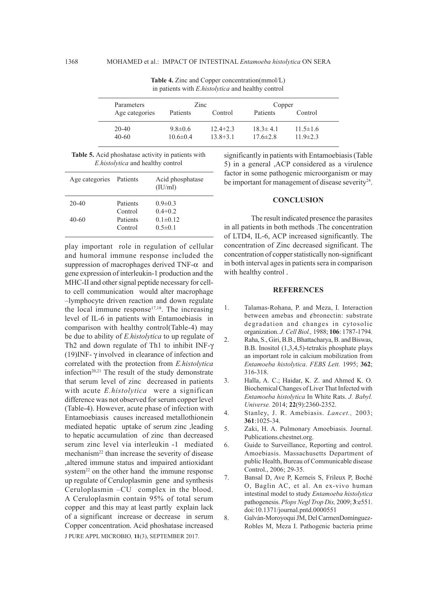| Parameters           | Zinc                            |                              | Copper                           |                                  |
|----------------------|---------------------------------|------------------------------|----------------------------------|----------------------------------|
| Age categories       | Patients                        | Control                      | Patients                         | Control                          |
| $20 - 40$<br>$40-60$ | $9.8 \pm 0.6$<br>$10.6 \pm 0.4$ | $12.4 + 2.3$<br>$13.8 + 3.1$ | $18.3 \pm 4.1$<br>$17.6 \pm 2.8$ | $11.5 \pm 1.6$<br>$11.9 \pm 2.3$ |

**Table 4.** Zinc and Copper concentration(mmol/L) in patients with *E.histolytica* and healthy control

|  | <b>Table 5.</b> Acid phoshatase activity in patients with |  |  |
|--|-----------------------------------------------------------|--|--|
|  | <i>E.histolytica</i> and healthy control                  |  |  |

| Age categories Patients |                     | Acid phosphatase<br>(IU/ml)     |
|-------------------------|---------------------|---------------------------------|
| 20-40                   | Patients<br>Control | $0.9 \pm 0.3$<br>$0.4 + 0.2$    |
| 40-60                   | Patients<br>Control | $0.1 \pm 0.12$<br>$0.5 \pm 0.1$ |
|                         |                     |                                 |

J PURE APPL MICROBIO*,* **11**(3), SEPTEMBER 2017. play important role in regulation of cellular and humoral immune response included the suppression of macrophages derived TNF- $\alpha$  and gene expression of interleukin-1 production and the MHC-II and other signal peptide necessary for cellto cell communication would alter macrophage –lymphocyte driven reaction and down regulate the local immune response $17,18$ . The increasing level of IL-6 in patients with Entamoebiasis in comparison with healthy control(Table-4) may be due to ability of *E.histolytica* to up regulate of Th2 and down regulate of Th1 to inhibit INF- $\gamma$ (19) INF- $\gamma$  involved in clearance of infection and correlated with the protection from *E.histolytica* infection<sup>20,21</sup> The result of the study demonstrate that serum level of zinc decreased in patients with acute *E.histolytica* were a significan difference was not observed for serum copper level (Table-4). However, acute phase of infection with Entamoebiasis causes increased metallothionein mediated hepatic uptake of serum zinc ,leading to hepatic accumulation of zinc than decreased serum zinc level via interleukin -1 mediated mechanism<sup>22</sup> than increase the severity of disease ,altered immune status and impaired antioxidant system<sup>22</sup> on the other hand the immune response up regulate of Ceruloplasmin gene and synthesis Ceruloplasmin –CU complex in the blood. A Ceruloplasmin contain 95% of total serum copper and this may at least partly explain lack of a significant increase or decrease in serum Copper concentration. Acid phoshatase increased significantly in patients with Entamoebiasis (Table 5) in a general ,ACP considered as a virulence factor in some pathogenic microorganism or may be important for management of disease severity<sup>24</sup>.

#### **CONCLUSION**

The result indicated presence the parasites in all patients in both methods .The concentration of LTD4, IL-6, ACP increased significantly. The concentration of Zinc decreased significant. The concentration of copper statistically non-significant in both interval ages in patients sera in comparison with healthy control .

### **REFERENCES**

- 1. Talamas-Rohana, P. and Meza, I. Interaction between amebas and ¢bronectin: substrate degradation and changes in cytosolic organization. *J. Cell Biol.,* 1988; **106**: 1787-1794.
- 2. Raha, S., Giri, B.B., Bhattacharya, B. and Biswas, B.B. Inositol (1,3,4,5)-tetrakis phosphate plays an important role in calcium mobilization from *Entamoeba histolytica*. *FEBS Lett.* 1995; **362**; 316-318.
- 3. Halla, A. C.; Haidar, K. Z. and Ahmed K. O. Biochemical Changes of Liver That Infected with *Entamoeba histolytica* In White Rats. *J. Babyl. Universe.* 2014; **22**(9):2360-2352.
- 4. Stanley, J. R. Amebiasis. *Lancet.,* 2003; **361**:1025-34.
- 5. Zaki, H. A. Pulmonary Amoebiasis. Journal. Publications.chestnet.org.
- 6. Guide to Surveillance, Reporting and control. Amoebiasis. Massachusetts Department of public Health, Bureau of Communicable disease Control., 2006; 29-35.
- 7. Bansal D, Ave P, Kerneis S, Frileux P, Boché O, Baglin AC, et al. An ex-vivo human intestinal model to study *Entamoeba histolytica*  pathogenesis. *Plops Negl Trop Dis,* 2009; **3**:e551. doi:10.1371/journal.pntd.0000551

8. Galván-Moroyoqui JM, Del CarmenDomínguez-Robles M, Meza I. Pathogenic bacteria prime